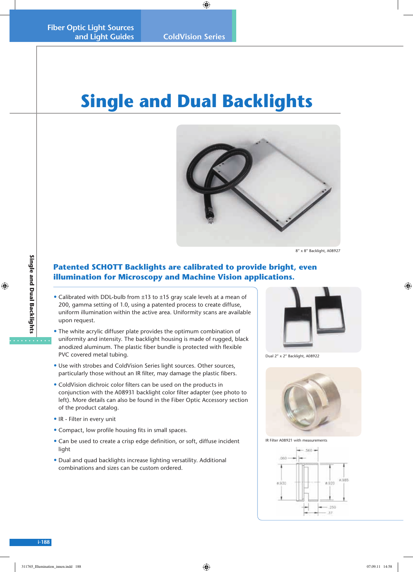# **Single and Dual Backlights**



8" x 8" Backlight, A08927

## **Patented SCHOTT Backlights are calibrated to provide bright, even illumination for Microscopy and Machine Vision applications.**

- Calibrated with DDL-bulb from ±13 to ±15 gray scale levels at a mean of 200, gamma setting of 1.0, using a patented process to create diffuse, uniform illumination within the active area. Uniformity scans are available upon request.
- The white acrylic diffuser plate provides the optimum combination of uniformity and intensity. The backlight housing is made of rugged, black anodized aluminum. The plastic fiber bundle is protected with flexible PVC covered metal tubing.
- Use with strobes and ColdVision Series light sources. Other sources, particularly those without an IR filter, may damage the plastic fibers.
- ColdVision dichroic color filters can be used on the products in conjunction with the A08931 backlight color filter adapter (see photo to left). More details can also be found in the Fiber Optic Accessory section of the product catalog.
- IR Filter in every unit
- Compact, low profile housing fits in small spaces.
- Can be used to create a crisp edge definition, or soft, diffuse incident light
- Dual and quad backlights increase lighting versatility. Additional combinations and sizes can be custom ordered.



Dual 2" x 2" Backlight, A08922



IR Filter A08921 with measurements



**Single and Dual Backlights**

. . . . . . . .

Single and Dual Backlights